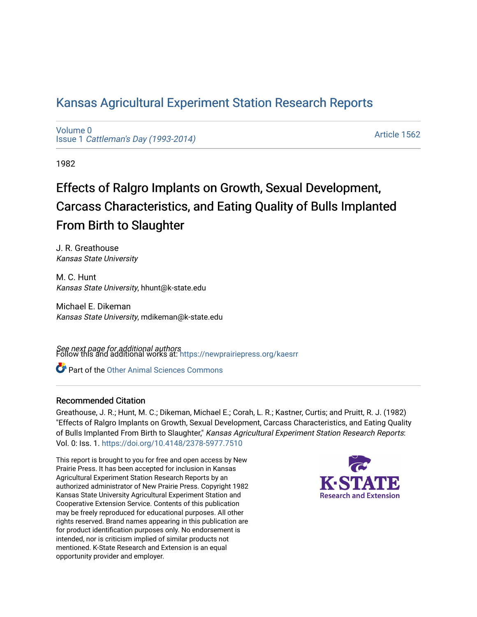# [Kansas Agricultural Experiment Station Research Reports](https://newprairiepress.org/kaesrr)

[Volume 0](https://newprairiepress.org/kaesrr/vol0) Issue 1 [Cattleman's Day \(1993-2014\)](https://newprairiepress.org/kaesrr/vol0/iss1) 

[Article 1562](https://newprairiepress.org/kaesrr/vol0/iss1/1562) 

1982

# Effects of Ralgro Implants on Growth, Sexual Development, Carcass Characteristics, and Eating Quality of Bulls Implanted From Birth to Slaughter

J. R. Greathouse Kansas State University

M. C. Hunt Kansas State University, hhunt@k-state.edu

Michael E. Dikeman Kansas State University, mdikeman@k-state.edu

**See next page for additional authors**<br>Follow this and additional works at: https://newprairiepress.org/kaesrr

Part of the [Other Animal Sciences Commons](http://network.bepress.com/hgg/discipline/82?utm_source=newprairiepress.org%2Fkaesrr%2Fvol0%2Fiss1%2F1562&utm_medium=PDF&utm_campaign=PDFCoverPages)

#### Recommended Citation

Greathouse, J. R.; Hunt, M. C.; Dikeman, Michael E.; Corah, L. R.; Kastner, Curtis; and Pruitt, R. J. (1982) "Effects of Ralgro Implants on Growth, Sexual Development, Carcass Characteristics, and Eating Quality of Bulls Implanted From Birth to Slaughter," Kansas Agricultural Experiment Station Research Reports: Vol. 0: Iss. 1. <https://doi.org/10.4148/2378-5977.7510>

This report is brought to you for free and open access by New Prairie Press. It has been accepted for inclusion in Kansas Agricultural Experiment Station Research Reports by an authorized administrator of New Prairie Press. Copyright 1982 Kansas State University Agricultural Experiment Station and Cooperative Extension Service. Contents of this publication may be freely reproduced for educational purposes. All other rights reserved. Brand names appearing in this publication are for product identification purposes only. No endorsement is intended, nor is criticism implied of similar products not mentioned. K-State Research and Extension is an equal opportunity provider and employer.

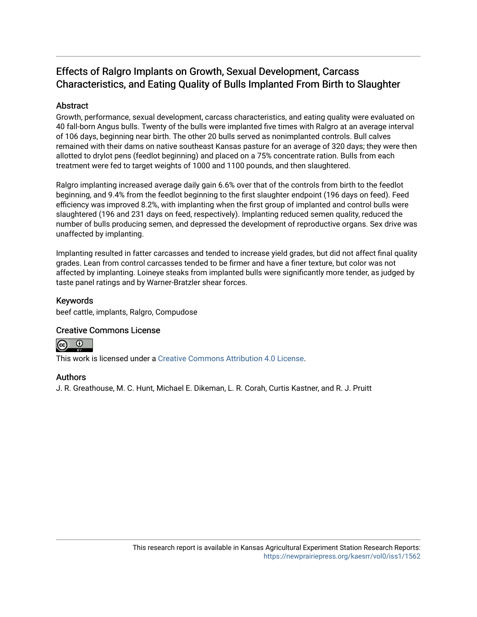## Effects of Ralgro Implants on Growth, Sexual Development, Carcass Characteristics, and Eating Quality of Bulls Implanted From Birth to Slaughter

## **Abstract**

Growth, performance, sexual development, carcass characteristics, and eating quality were evaluated on 40 fall-born Angus bulls. Twenty of the bulls were implanted five times with Ralgro at an average interval of 106 days, beginning near birth. The other 20 bulls served as nonimplanted controls. Bull calves remained with their dams on native southeast Kansas pasture for an average of 320 days; they were then allotted to drylot pens (feedlot beginning) and placed on a 75% concentrate ration. Bulls from each treatment were fed to target weights of 1000 and 1100 pounds, and then slaughtered.

Ralgro implanting increased average daily gain 6.6% over that of the controls from birth to the feedlot beginning, and 9.4% from the feedlot beginning to the first slaughter endpoint (196 days on feed). Feed efficiency was improved 8.2%, with implanting when the first group of implanted and control bulls were slaughtered (196 and 231 days on feed, respectively). Implanting reduced semen quality, reduced the number of bulls producing semen, and depressed the development of reproductive organs. Sex drive was unaffected by implanting.

Implanting resulted in fatter carcasses and tended to increase yield grades, but did not affect final quality grades. Lean from control carcasses tended to be firmer and have a finer texture, but color was not affected by implanting. Loineye steaks from implanted bulls were significantly more tender, as judged by taste panel ratings and by Warner-Bratzler shear forces.

## Keywords

beef cattle, implants, Ralgro, Compudose

## Creative Commons License



This work is licensed under a [Creative Commons Attribution 4.0 License](https://creativecommons.org/licenses/by/4.0/).

## Authors

J. R. Greathouse, M. C. Hunt, Michael E. Dikeman, L. R. Corah, Curtis Kastner, and R. J. Pruitt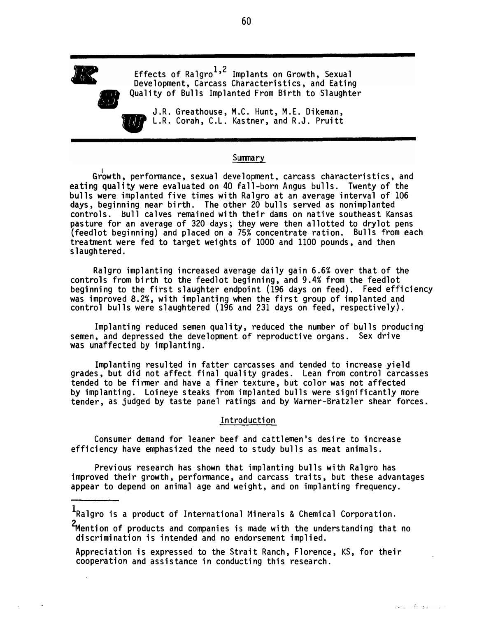

�

Effects of Ralgro<sup>1,2</sup> Implants on Growth, Sexual Development, Carcass Characteristics, and Eating Quality of Bulls Implanted From Birth to Slaughter

**J.R. Greathouse, M.C. Hunt, M.E. Dikeman,**<br>L.R. Corah, C.L. Kastner, and R.J. Pruitt L.R. Corah, C.L. Kastner, and R.J. Pruitt

#### Summary

Gr�wth, performance, sexual development, carcass characteristics, and eating quality were evaluated on 40 fall-born Angus bulls. Twenty of the bulls were implanted five times with Ralgro at an average interval of 106 days, beginning near birth. The other 20 bulls served as nonimplanted controls. Hull calves remained with their dams on native southeast Kansas pasture for an average of 320 days; they were then allotted to drylot pens (feedlot beginning) and placed on a 75% concentrate ration. Bulls from each treatment were fed to target weights of 1000 and 1100 pounds, and then slaughtered.

Ralgro implanting increased average daily gain 6.6% over that of the controls from birth to the feedlot beginning, and 9.4% from the feedlot beginning to the first slaughter endpoint (196 days on feed). Feed efficiency was improved 8.2%, with implanting when the first group of implanted and control bulls were slaughtered (196 and 231 days on feed, respectively).

Implanting reduced semen quality, reduced the number of bulls producing semen, and depressed the development of reproductive organs. Sex drive was unaffect<sup>e</sup>d by implanting.

Implanting resulted in fatter carcasses and tended to increase yield grades, but did not affect final quality grades. Lean from control carcasses tended to be firmer and have a finer texture, but color was not affected by implanting. Loineye steaks from implanted bulls were significantly more tender, as judged by taste panel ratings and by Warner-Bratzler shear forces.

#### Introduction

Consumer demand for leaner beef and cattlemen's desire to increase efficiency have emphasized the need to study bulls as meat animals.

Previous research has shown that implanting bulls with Ralgro has improved their growth, performance, and carcass traits, but these advantages appear to depend on animal age and weight, and on implanting frequency.

<sup>1</sup>Ralgro is a product of International Minerals & Chemical Corporation.

<sup>2</sup>Mention of products and companies is made with the understanding that no discrimination is intended and no endorsement implied.

Appreciation is expressed to the Strait Ranch, Florence, KS, for their cooperation and assistance in conducting this research.

60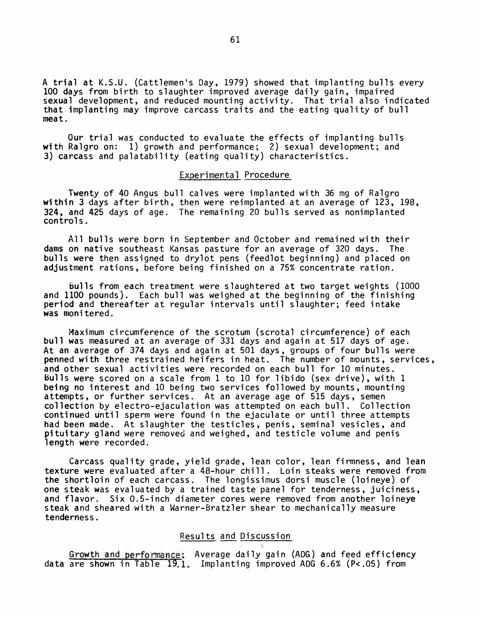A trial at K.S.U. (Cattlemen's Day, 1979) showed that implanting bulls every 100 days from birth to slaughter improved average daily gain, impaired sexual development, and reduced mounting activity. That trial also indicated that implanting may improve carcass traits and the eating quality of bull meat.

Our trial was conducted to evaluate the effects of implanting bulls with Ralgro on: 1) growth and performance; 2) sexual development; and 3) carcass and palatability (eating quality) characteristics.

#### Experimental Procedure

Twenty of 40 Angus bull calves were implanted with 36 mg of Ralgro within 3 days after birth, then were reimplanted at an average of 123, 198, 324, and 425 days of age. The remaining 20 bulls served as nonimplanted controls.

All bulls were born in September and October and remained with their dams on native southeast Kansas pasture for an average of 320 days. The bulls were then assigned to drylot pens (feedlot beginning) and placed on adjustment rations, before being finished on a 75% concentrate ration.

bulls from each treatment were slaughtered at two target weights (1000 and 1100 pounds). Each bull was weighed at the beginning of the finishing period and thereafter at regular intervals until slaughter; feed intake was moni tered.

Maximum circumference of the scrotum (scrotal circumference) of each bull was measured at an average of 331 days and again at 517 days of age. At an average of 374 days and again at 501 days, groups of four bulls were penned with three restrained heifers in heat. The number of mounts, services, and other sexual activities were recorded on each bull for 10 minutes. Bulls were scored on a scale from 1 to 10 for libido (sex drive), with 1 being no interest and 10 being two services followed by mounts, mounting attempts, or further services. At an average age of 515 days, semen collection by electro-ejaculation was attempted on each bull. Collection continued until sperm were found in the ejaculate or until three attempts had been made. At slaughter the testicles, penis, seminal vesicles, and pituitary gland were removed and weighed, and testicle volume and penis length were recorded.

Carcass quality grade, yield grade, lean color, lean firmness, and lean texture were evaluated after a 48-hour chill. Loin steaks were removed from the shortloin of each carcass. The longissimus dorsi muscle (loineye) of one steak was evaluated by a trained taste panel for tenderness, juiciness, and flavor. Six 0.5-inch diameter cores were removed from another loineye steak and sheared with a Warner-Bratzler shear to mechanically measure tenderness.

#### Results and Discussion

Growth and performance; Average daily gain (ADG) and feed efficiency data are shown in Table 19.1. Implanting improved ADG 6.6% (P<.05) from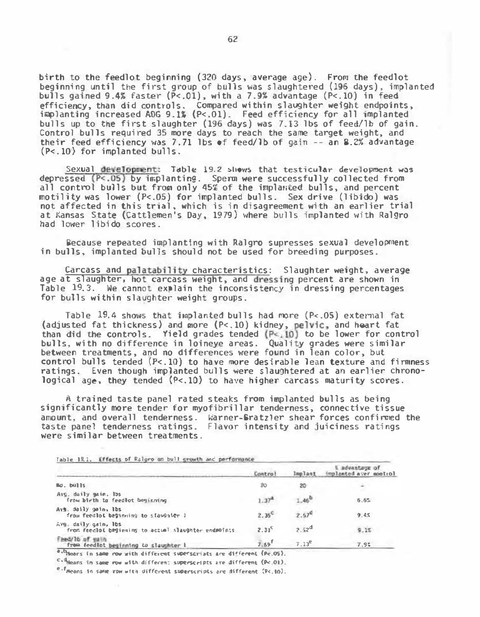birth to the feedlot beginning (320 days, average age). From the feedlot beginning until the first group of bulls 1�as slaughtered (196 days), implanted bulls gained 9.4" faster (P<.01), with a 7 .9% advantage (P<.10) in feed efficiency, than did controls. Compared within slaughter weight endpoints, implanting increased AOG 9.li (P<.01). Feed efficiency for all implanted bulls up to the first slaughter (196 days) was 7.13 lbs of feed/lb of gain. Control bulls required 35 more days to reach the same target weight, and their feed efficiency was 7. 71 lbs of feed/lb of gain -- an 8.2% advantage (P<.10} for implanted bulls.

Sexual development: Table 19.2 shows that testicular development was depressed  $(P<.05)$  by implanting. Sperm were successfully collected from all control bulls but from only  $45\%$  of the implanted bulls, and percent motility was lower (P<.05) for implanted bulls. Sex drive (libido) was not affected in this trial, which is in disagreement with an earlier trial at Kansas State (Cattlemen's Day, 1979) where bulls implanted with Ralgro had lower libido scores.

Because repeated implanting with Ralgro supresses sexual development in bulls, implanted bulls should not be used for breeding purposes.

Carcass and palatability characteristics: Slaughter weight, average age at slaughter, hot carcass weight, and dressing percent are shown in Table 19.3. We cannot explain the inconsistency in dressing percentages for bulls within slaughter weight groups.

Table  $19.4$  shows that implanted bulls had more (P<.05) external fat (adjusted fat thickness) and more (P<.10) kidney, pelvic, and heart fat than did the controls. Yield grades tended (P<. 10) to be lower for control bulls, with no difference in loineye areas. Quality grades were similar between treatments, and no differences were found in lean color, but control bulls tended (P<.10) to have more desirable lean texture and firmness ratings. Even though implanted bulls were slaughtered at an earlier chronological age, they tended (P<.10} to have higher carcass maturity scores.

A trained taste panel rated steaks from implanted bulls as being significantly more tender for myofibrillar tenderness, connective tissue amount, and overall tenderness. Warner-Bratzler shear forces confirmed the taste panel tenderness ratings. Flavor intensity and juiciness ratings were similar between treatments.

| Table 19.1. Effects of Ralgro on bull growth and performance                          |                     |                |                                          |
|---------------------------------------------------------------------------------------|---------------------|----------------|------------------------------------------|
|                                                                                       | Contro              | lmelant        | 1 advantage of<br>implanted aver mootiol |
| Ma. bulls                                                                             | 20                  | 20             |                                          |
| Avg. daily gain, 15s<br>from birth to feedlot beginning                               |                     | $-4e$          | 6.6%                                     |
| Avs. daily gain. Ibs<br>from feedlot beginning to stawgater I                         | $2.35^\circ$        | $2.57^{\circ}$ | 9.45                                     |
| $\Delta v$ g. daily gain, lbs<br>from feedlot beginning to actual slaughter endmoints | $2.31^{\circ}$      | $2.52^{d}$     | 9.1%                                     |
| Feed/16 of each<br>from feedlot beginning to slaughter b                              | $7.69$ <sup>T</sup> | $7.13^{\circ}$ | 7.92                                     |

\*· Means in same row with different superscripts are different (Pe.05).

c,4Nears in same row with different superscripts are different (P<.01).

e.f<sub>Means</sub> in same row with different superscripts are different (P<.10).